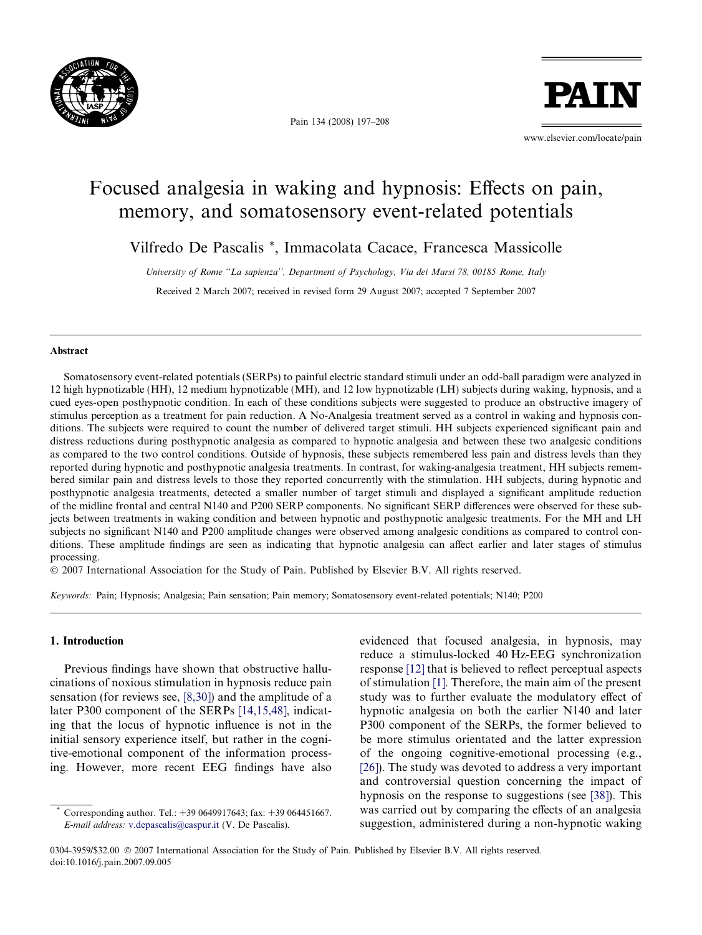

Pain 134 (2008) 197–208

PATI

www.elsevier.com/locate/pain

# Focused analgesia in waking and hypnosis: Effects on pain, memory, and somatosensory event-related potentials

Vilfredo De Pascalis \*, Immacolata Cacace, Francesca Massicolle

University of Rome ''La sapienza'', Department of Psychology, Via dei Marsi 78, 00185 Rome, Italy Received 2 March 2007; received in revised form 29 August 2007; accepted 7 September 2007

#### Abstract

Somatosensory event-related potentials (SERPs) to painful electric standard stimuli under an odd-ball paradigm were analyzed in 12 high hypnotizable (HH), 12 medium hypnotizable (MH), and 12 low hypnotizable (LH) subjects during waking, hypnosis, and a cued eyes-open posthypnotic condition. In each of these conditions subjects were suggested to produce an obstructive imagery of stimulus perception as a treatment for pain reduction. A No-Analgesia treatment served as a control in waking and hypnosis conditions. The subjects were required to count the number of delivered target stimuli. HH subjects experienced significant pain and distress reductions during posthypnotic analgesia as compared to hypnotic analgesia and between these two analgesic conditions as compared to the two control conditions. Outside of hypnosis, these subjects remembered less pain and distress levels than they reported during hypnotic and posthypnotic analgesia treatments. In contrast, for waking-analgesia treatment, HH subjects remembered similar pain and distress levels to those they reported concurrently with the stimulation. HH subjects, during hypnotic and posthypnotic analgesia treatments, detected a smaller number of target stimuli and displayed a significant amplitude reduction of the midline frontal and central N140 and P200 SERP components. No significant SERP differences were observed for these subjects between treatments in waking condition and between hypnotic and posthypnotic analgesic treatments. For the MH and LH subjects no significant N140 and P200 amplitude changes were observed among analgesic conditions as compared to control conditions. These amplitude findings are seen as indicating that hypnotic analgesia can affect earlier and later stages of stimulus processing.

- 2007 International Association for the Study of Pain. Published by Elsevier B.V. All rights reserved.

Keywords: Pain; Hypnosis; Analgesia; Pain sensation; Pain memory; Somatosensory event-related potentials; N140; P200

## 1. Introduction

Previous findings have shown that obstructive hallucinations of noxious stimulation in hypnosis reduce pain sensation (for reviews see, [\[8,30\]\)](#page--1-0) and the amplitude of a later P300 component of the SERPs [\[14,15,48\]](#page--1-0), indicating that the locus of hypnotic influence is not in the initial sensory experience itself, but rather in the cognitive-emotional component of the information processing. However, more recent EEG findings have also evidenced that focused analgesia, in hypnosis, may reduce a stimulus-locked 40 Hz-EEG synchronization response [\[12\]](#page--1-0) that is believed to reflect perceptual aspects of stimulation [\[1\].](#page--1-0) Therefore, the main aim of the present study was to further evaluate the modulatory effect of hypnotic analgesia on both the earlier N140 and later P300 component of the SERPs, the former believed to be more stimulus orientated and the latter expression of the ongoing cognitive-emotional processing (e.g., [\[26\]\)](#page--1-0). The study was devoted to address a very important and controversial question concerning the impact of hypnosis on the response to suggestions (see [\[38\]](#page--1-0)). This was carried out by comparing the effects of an analgesia suggestion, administered during a non-hypnotic waking

0304-3959/\$32.00 © 2007 International Association for the Study of Pain. Published by Elsevier B.V. All rights reserved. doi:10.1016/j.pain.2007.09.005

Corresponding author. Tel.: +39 0649917643; fax: +39 064451667. E-mail address: [v.depascalis@caspur.it](mailto:v.depascalis@caspur.it) (V. De Pascalis).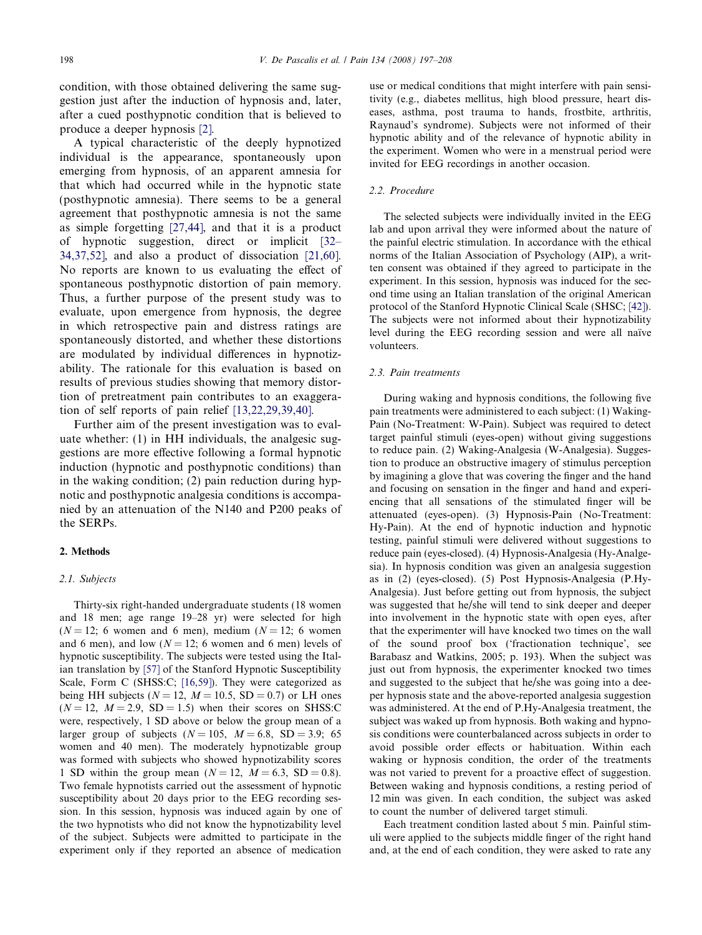condition, with those obtained delivering the same suggestion just after the induction of hypnosis and, later, after a cued posthypnotic condition that is believed to produce a deeper hypnosis [\[2\]](#page--1-0).

A typical characteristic of the deeply hypnotized individual is the appearance, spontaneously upon emerging from hypnosis, of an apparent amnesia for that which had occurred while in the hypnotic state (posthypnotic amnesia). There seems to be a general agreement that posthypnotic amnesia is not the same as simple forgetting [\[27,44\]](#page--1-0), and that it is a product of hypnotic suggestion, direct or implicit [\[32–](#page--1-0) [34,37,52\],](#page--1-0) and also a product of dissociation [\[21,60\]](#page--1-0). No reports are known to us evaluating the effect of spontaneous posthypnotic distortion of pain memory. Thus, a further purpose of the present study was to evaluate, upon emergence from hypnosis, the degree in which retrospective pain and distress ratings are spontaneously distorted, and whether these distortions are modulated by individual differences in hypnotizability. The rationale for this evaluation is based on results of previous studies showing that memory distortion of pretreatment pain contributes to an exaggeration of self reports of pain relief [\[13,22,29,39,40\].](#page--1-0)

Further aim of the present investigation was to evaluate whether: (1) in HH individuals, the analgesic suggestions are more effective following a formal hypnotic induction (hypnotic and posthypnotic conditions) than in the waking condition; (2) pain reduction during hypnotic and posthypnotic analgesia conditions is accompanied by an attenuation of the N140 and P200 peaks of the SERPs.

### 2. Methods

#### 2.1. Subjects

Thirty-six right-handed undergraduate students (18 women and 18 men; age range 19–28 yr) were selected for high  $(N = 12; 6$  women and 6 men), medium  $(N = 12; 6$  women and 6 men), and low ( $N = 12$ ; 6 women and 6 men) levels of hypnotic susceptibility. The subjects were tested using the Italian translation by [\[57\]](#page--1-0) of the Stanford Hypnotic Susceptibility Scale, Form C (SHSS:C; [\[16,59\]](#page--1-0)). They were categorized as being HH subjects ( $N = 12$ ,  $M = 10.5$ , SD = 0.7) or LH ones  $(N = 12, M = 2.9, SD = 1.5)$  when their scores on SHSS:C were, respectively, 1 SD above or below the group mean of a larger group of subjects ( $N = 105$ ,  $M = 6.8$ , SD = 3.9; 65 women and 40 men). The moderately hypnotizable group was formed with subjects who showed hypnotizability scores 1 SD within the group mean  $(N = 12, M = 6.3, SD = 0.8)$ . Two female hypnotists carried out the assessment of hypnotic susceptibility about 20 days prior to the EEG recording session. In this session, hypnosis was induced again by one of the two hypnotists who did not know the hypnotizability level of the subject. Subjects were admitted to participate in the experiment only if they reported an absence of medication

use or medical conditions that might interfere with pain sensitivity (e.g., diabetes mellitus, high blood pressure, heart diseases, asthma, post trauma to hands, frostbite, arthritis, Raynaud's syndrome). Subjects were not informed of their hypnotic ability and of the relevance of hypnotic ability in the experiment. Women who were in a menstrual period were invited for EEG recordings in another occasion.

#### 2.2. Procedure

The selected subjects were individually invited in the EEG lab and upon arrival they were informed about the nature of the painful electric stimulation. In accordance with the ethical norms of the Italian Association of Psychology (AIP), a written consent was obtained if they agreed to participate in the experiment. In this session, hypnosis was induced for the second time using an Italian translation of the original American protocol of the Stanford Hypnotic Clinical Scale (SHSC; [\[42\]](#page--1-0)). The subjects were not informed about their hypnotizability level during the EEG recording session and were all naïve volunteers.

#### 2.3. Pain treatments

During waking and hypnosis conditions, the following five pain treatments were administered to each subject: (1) Waking-Pain (No-Treatment: W-Pain). Subject was required to detect target painful stimuli (eyes-open) without giving suggestions to reduce pain. (2) Waking-Analgesia (W-Analgesia). Suggestion to produce an obstructive imagery of stimulus perception by imagining a glove that was covering the finger and the hand and focusing on sensation in the finger and hand and experiencing that all sensations of the stimulated finger will be attenuated (eyes-open). (3) Hypnosis-Pain (No-Treatment: Hy-Pain). At the end of hypnotic induction and hypnotic testing, painful stimuli were delivered without suggestions to reduce pain (eyes-closed). (4) Hypnosis-Analgesia (Hy-Analgesia). In hypnosis condition was given an analgesia suggestion as in (2) (eyes-closed). (5) Post Hypnosis-Analgesia (P.Hy-Analgesia). Just before getting out from hypnosis, the subject was suggested that he/she will tend to sink deeper and deeper into involvement in the hypnotic state with open eyes, after that the experimenter will have knocked two times on the wall of the sound proof box ('fractionation technique', see Barabasz and Watkins, 2005; p. 193). When the subject was just out from hypnosis, the experimenter knocked two times and suggested to the subject that he/she was going into a deeper hypnosis state and the above-reported analgesia suggestion was administered. At the end of P.Hy-Analgesia treatment, the subject was waked up from hypnosis. Both waking and hypnosis conditions were counterbalanced across subjects in order to avoid possible order effects or habituation. Within each waking or hypnosis condition, the order of the treatments was not varied to prevent for a proactive effect of suggestion. Between waking and hypnosis conditions, a resting period of 12 min was given. In each condition, the subject was asked to count the number of delivered target stimuli.

Each treatment condition lasted about 5 min. Painful stimuli were applied to the subjects middle finger of the right hand and, at the end of each condition, they were asked to rate any